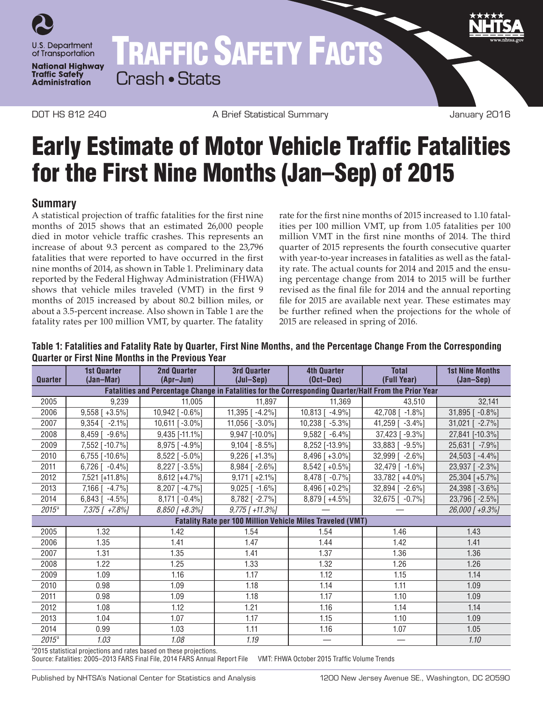

# TRAFFIC SAFETY FACTS Crash • Stats

DOT HS 812 240 A Brief Statistical Summary January 2016

# Early Estimate of Motor Vehicle Traffic Fatalities for the First Nine Months (Jan–Sep) of 2015

### **Summary**

A statistical projection of traffic fatalities for the first nine months of 2015 shows that an estimated 26,000 people died in motor vehicle traffic crashes. This represents an increase of about 9.3 percent as compared to the 23,796 fatalities that were reported to have occurred in the first nine months of 2014, as shown in Table 1. Preliminary data reported by the Federal Highway Administration (FHWA) shows that vehicle miles traveled (VMT) in the first 9 months of 2015 increased by about 80.2 billion miles, or about a 3.5-percent increase. Also shown in Table 1 are the fatality rates per 100 million VMT, by quarter. The fatality

rate for the first nine months of 2015 increased to 1.10 fatalities per 100 million VMT, up from 1.05 fatalities per 100 million VMT in the first nine months of 2014. The third quarter of 2015 represents the fourth consecutive quarter with year-to-year increases in fatalities as well as the fatality rate. The actual counts for 2014 and 2015 and the ensuing percentage change from 2014 to 2015 will be further revised as the final file for 2014 and the annual reporting file for 2015 are available next year. These estimates may be further refined when the projections for the whole of 2015 are released in spring of 2016.

**Table 1: Fatalities and Fatality Rate by Quarter, First Nine Months, and the Percentage Change From the Corresponding Quarter or First Nine Months in the Previous Year**

| <b>Quarter</b>                                                                                        | <b>1st Quarter</b><br>(Jan-Mar) | 2nd Quarter<br>(Apr-Jun) | <b>3rd Quarter</b><br>$(Jul-Sep)$ | <b>4th Quarter</b><br>$(Oct-Dec)$ | <b>Total</b><br>(Full Year) | <b>1st Nine Months</b><br>(Jan-Sep) |
|-------------------------------------------------------------------------------------------------------|---------------------------------|--------------------------|-----------------------------------|-----------------------------------|-----------------------------|-------------------------------------|
| Fatalities and Percentage Change in Fatalities for the Corresponding Quarter/Half From the Prior Year |                                 |                          |                                   |                                   |                             |                                     |
| 2005                                                                                                  | 9.239                           | 11.005                   | 11,897                            | 11,369                            | 43.510                      | 32,141                              |
| 2006                                                                                                  | $9,558$ [ +3.5%]                | 10,942 [-0.6%]           | 11,395 [ -4.2%]                   | 10,813 [ -4.9%]                   | 42,708 [ -1.8%]             | $31,895$ [ -0.8%]                   |
| 2007                                                                                                  | $9,354$ [ $-2.1\%$ ]            | 10,611 [-3.0%]           | 11,056 [ -3.0%]                   | 10,238 [ -5.3%]                   | 41,259 [ -3.4%]             | 31,021 [ -2.7%]                     |
| 2008                                                                                                  | $8,459$ [ -9.6%]                | 9,435 [-11.1%]           | 9,947 [-10.0%]                    | $9,582$ [ -6.4%]                  | 37,423 [-9.3%]              | 27,841 [-10.3%]                     |
| 2009                                                                                                  | 7,552 [-10.7%]                  | $8,975$ [-4.9%]          | $9,104$ [ -8.5%]                  | 8,252 [-13.9%]                    | 33,883 [ -9.5%]             | 25,631 [ -7.9%]                     |
| 2010                                                                                                  | $6,755$ [-10.6%]                | 8,522 [-5.0%]            | $9,226$ [+1.3%]                   | 8,496 [+3.0%]                     | 32,999 [ -2.6%]             | 24,503 [-4.4%]                      |
| 2011                                                                                                  | $6,726$ [ $-0.4\%$ ]            | $8,227$ [ -3.5%]         | $8,984$ [ -2.6%]                  | $8,542$ [ +0.5%]                  | 32,479 [ -1.6%]             | 23,937 [ -2.3%]                     |
| 2012                                                                                                  | 7,521 [+11.8%]                  | $8,612$ [+4.7%]          | $9,171$ [ +2.1%]                  | 8,478 [ -0.7%]                    | 33,782 [+4.0%]              | 25,304 [+5.7%]                      |
| 2013                                                                                                  | 7,166 [ -4.7%]                  | $8,207$ [-4.7%]          | $9,025$ [ -1.6%]                  | $8,496$ [ +0.2%]                  | 32,894 [ -2.6%]             | 24,398 [-3.6%]                      |
| 2014                                                                                                  | $6,843$ [ -4.5%]                | $8,171$ [ -0.4%]         | 8,782 [ -2.7%]                    | 8,879 [+4.5%]                     | 32,675 [ -0.7%]             | 23,796 [-2.5%]                      |
| $2015^a$                                                                                              | 7,375 [ +7.8%]                  | $8,850$ [ $+8.3\%$ ]     | $9,775$ [ +11.3%]                 |                                   |                             | 26,000 [ +9.3%]                     |
| <b>Fatality Rate per 100 Million Vehicle Miles Traveled (VMT)</b>                                     |                                 |                          |                                   |                                   |                             |                                     |
| 2005                                                                                                  | 1.32                            | 1.42                     | 1.54                              | 1.54                              | 1.46                        | 1.43                                |
| 2006                                                                                                  | 1.35                            | 1.41                     | 1.47                              | 1.44                              | 1.42                        | 1.41                                |
| 2007                                                                                                  | 1.31                            | 1.35                     | 1.41                              | 1.37                              | 1.36                        | 1.36                                |
| 2008                                                                                                  | 1.22                            | 1.25                     | 1.33                              | 1.32                              | 1.26                        | 1.26                                |
| 2009                                                                                                  | 1.09                            | 1.16                     | 1.17                              | 1.12                              | 1.15                        | 1.14                                |
| 2010                                                                                                  | 0.98                            | 1.09                     | 1.18                              | 1.14                              | 1.11                        | 1.09                                |
| 2011                                                                                                  | 0.98                            | 1.09                     | 1.18                              | 1.17                              | 1.10                        | 1.09                                |
| 2012                                                                                                  | 1.08                            | 1.12                     | 1.21                              | 1.16                              | 1.14                        | 1.14                                |
| 2013                                                                                                  | 1.04                            | 1.07                     | 1.17                              | 1.15                              | 1.10                        | 1.09                                |
| 2014                                                                                                  | 0.99                            | 1.03                     | 1.11                              | 1.16                              | 1.07                        | 1.05                                |
| $2015^a$                                                                                              | 1.03                            | 1.08                     | 1.19                              |                                   |                             | 1.10                                |

<sup>a</sup> 2015 statistical projections and rates based on these projections.

Source: Fatalities: 2005–2013 FARS Final File, 2014 FARS Annual Report File VMT: FHWA October 2015 Traffic Volume Trends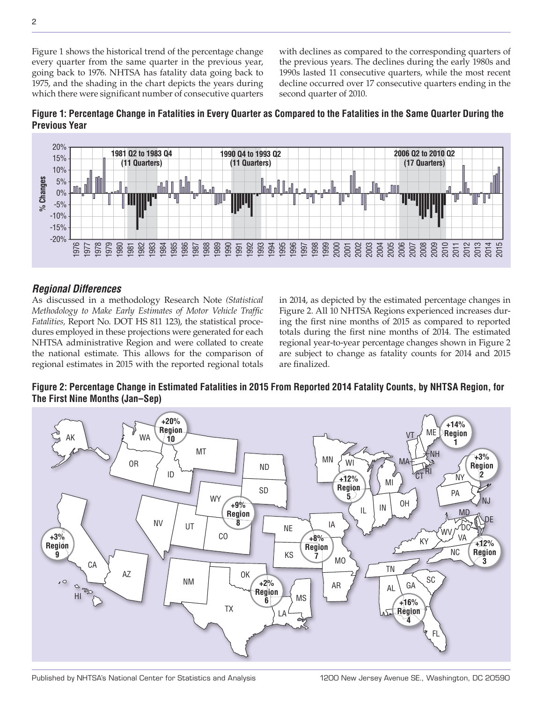Figure 1 shows the historical trend of the percentage change every quarter from the same quarter in the previous year, going back to 1976. NHTSA has fatality data going back to 1975, and the shading in the chart depicts the years during which there were significant number of consecutive quarters

with declines as compared to the corresponding quarters of the previous years. The declines during the early 1980s and 1990s lasted 11 consecutive quarters, while the most recent decline occurred over 17 consecutive quarters ending in the second quarter of 2010.





### *Regional Differences*

As discussed in a methodology Research Note *(Statistical Methodology to Make Early Estimates of Motor Vehicle Traffic Fatalities,* Report No. DOT HS 811 123), the statistical procedures employed in these projections were generated for each NHTSA administrative Region and were collated to create the national estimate. This allows for the comparison of regional estimates in 2015 with the reported regional totals

in 2014, as depicted by the estimated percentage changes in Figure 2. All 10 NHTSA Regions experienced increases during the first nine months of 2015 as compared to reported totals during the first nine months of 2014. The estimated regional year-to-year percentage changes shown in Figure 2 are subject to change as fatality counts for 2014 and 2015 are finalized.

**Figure 2: Percentage Change in Estimated Fatalities in 2015 From Reported 2014 Fatality Counts, by NHTSA Region, for The First Nine Months (Jan–Sep)**



2

Published by NHTSA's National Center for Statistics and Analysis 1200 New Jersey Avenue SE., Washington, DC 20590